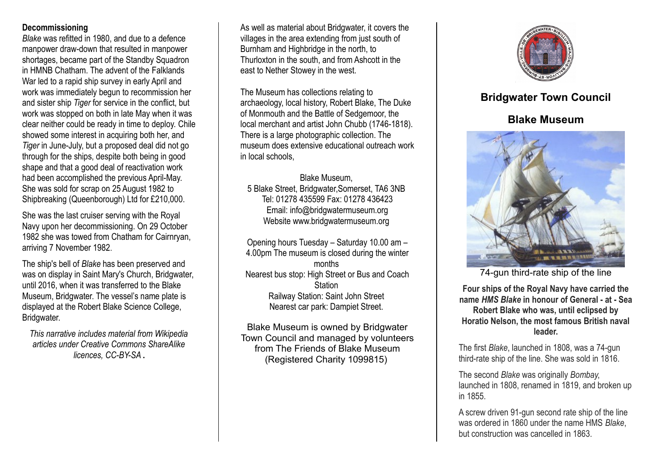## **Decommissioning**

*Blake* was refitted in 1980, and due to a defence manpower draw-down that resulted in manpower shortages, became part of the Standby Squadron in HMNB Chatham. The advent of the Falklands War led to a rapid ship survey in early April and work was immediately begun to recommission her and sister ship *Tiger* for service in the conflict, but work was stopped on both in late May when it was clear neither could be ready in time to deploy. Chile showed some interest in acquiring both her, and *Tiger* in June-July, but a proposed deal did not go through for the ships, despite both being in good shape and that a good deal of reactivation work had been accomplished the previous April-May. She was sold for scrap on 25 August 1982 to Shipbreaking (Queenborough) Ltd for £210,000.

She was the last cruiser serving with the Royal Navy upon her decommissioning. On 29 October 1982 she was towed from Chatham for Cairnryan, arriving 7 November 1982.

The ship's bell of *Blake* has been preserved and was on display in Saint Mary's Church, Bridgwater, until 2016, when it was transferred to the Blake Museum, Bridgwater. The vessel's name plate is displayed at the Robert Blake Science College, Bridgwater.

*This narrative includes material from Wikipedia articles under Creative Commons ShareAlike licences, CC-BY-SA* **.**

As well as material about Bridgwater, it covers the villages in the area extending from just south of Burnham and Highbridge in the north, to Thurloxton in the south, and from Ashcott in the east to Nether Stowey in the west.

The Museum has collections relating to archaeology, local history, Robert Blake, The Duke of Monmouth and the Battle of Sedgemoor, the local merchant and artist John Chubb (1746-1818). There is a large photographic collection. The museum does extensive educational outreach work in local schools,

Blake Museum, 5 Blake Street, Bridgwater,Somerset, TA6 3NB Tel: 01278 435599 Fax: 01278 436423 Email: info@bridgwatermuseum.org Website www.bridgwatermuseum.org

Opening hours Tuesday – Saturday 10.00 am – 4.00pm The museum is closed during the winter months Nearest bus stop: High Street or Bus and Coach **Station** Railway Station: Saint John Street Nearest car park: Dampiet Street.

Blake Museum is owned by Bridgwater Town Council and managed by volunteers from The Friends of Blake Museum (Registered Charity 1099815)



# **Bridgwater Town Council**

# **Blake Museum**



74-gun third-rate ship of the line

**Four ships of the Royal Navy have carried the name** *HMS Blake* **in honour of General - at - Sea Robert Blake who was, until eclipsed by Horatio Nelson, the most famous British naval leader.**

The first *Blake*, launched in 1808, was a 74-gun third-rate ship of the line. She was sold in 1816.

The second *Blake* was originally *Bombay*, launched in 1808, renamed in 1819, and broken up in 1855.

A screw driven 91-gun second rate ship of the line was ordered in 1860 under the name HMS *Blake*, but construction was cancelled in 1863.